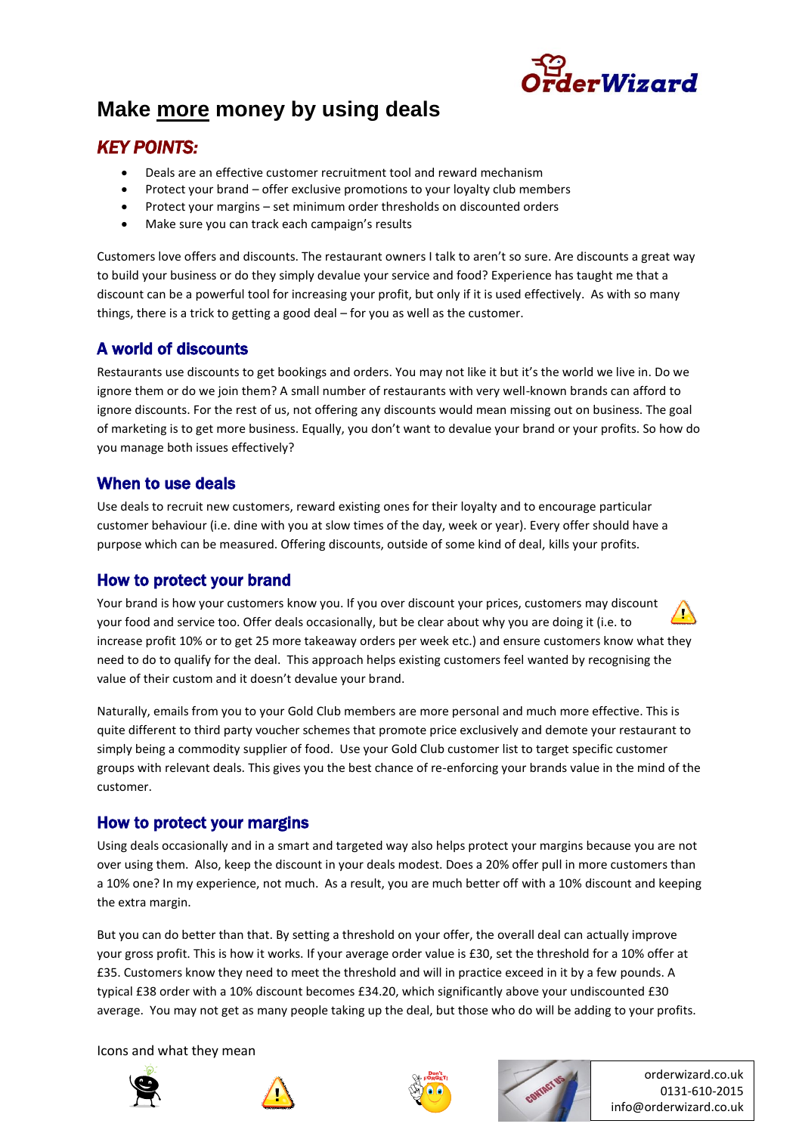

# **Make more money by using deals**

## *KEY POINTS:*

- Deals are an effective customer recruitment tool and reward mechanism
- Protect your brand offer exclusive promotions to your loyalty club members
- Protect your margins set minimum order thresholds on discounted orders
- Make sure you can track each campaign's results

Customers love offers and discounts. The restaurant owners I talk to aren't so sure. Are discounts a great way to build your business or do they simply devalue your service and food? Experience has taught me that a discount can be a powerful tool for increasing your profit, but only if it is used effectively. As with so many things, there is a trick to getting a good deal – for you as well as the customer.

## A world of discounts

Restaurants use discounts to get bookings and orders. You may not like it but it's the world we live in. Do we ignore them or do we join them? A small number of restaurants with very well-known brands can afford to ignore discounts. For the rest of us, not offering any discounts would mean missing out on business. The goal of marketing is to get more business. Equally, you don't want to devalue your brand or your profits. So how do you manage both issues effectively?

#### When to use deals

Use deals to recruit new customers, reward existing ones for their loyalty and to encourage particular customer behaviour (i.e. dine with you at slow times of the day, week or year). Every offer should have a purpose which can be measured. Offering discounts, outside of some kind of deal, kills your profits.

#### How to protect your brand

Your brand is how your customers know you. If you over discount your prices, customers may discount your food and service too. Offer deals occasionally, but be clear about why you are doing it (i.e. to increase profit 10% or to get 25 more takeaway orders per week etc.) and ensure customers know what they need to do to qualify for the deal. This approach helps existing customers feel wanted by recognising the value of their custom and it doesn't devalue your brand.

Naturally, emails from you to your Gold Club members are more personal and much more effective. This is quite different to third party voucher schemes that promote price exclusively and demote your restaurant to simply being a commodity supplier of food. Use your Gold Club customer list to target specific customer groups with relevant deals. This gives you the best chance of re-enforcing your brands value in the mind of the customer.

#### How to protect your margins

Using deals occasionally and in a smart and targeted way also helps protect your margins because you are not over using them. Also, keep the discount in your deals modest. Does a 20% offer pull in more customers than a 10% one? In my experience, not much. As a result, you are much better off with a 10% discount and keeping the extra margin.

But you can do better than that. By setting a threshold on your offer, the overall deal can actually improve your gross profit. This is how it works. If your average order value is £30, set the threshold for a 10% offer at £35. Customers know they need to meet the threshold and will in practice exceed in it by a few pounds. A typical £38 order with a 10% discount becomes £34.20, which significantly above your undiscounted £30 average. You may not get as many people taking up the deal, but those who do will be adding to your profits.

Icons and what they mean